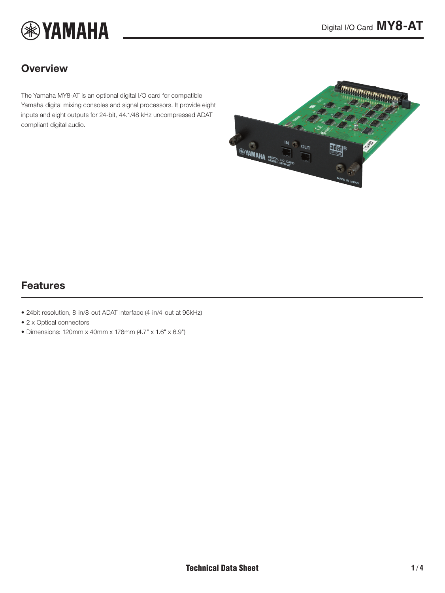

## **Overview**

The Yamaha MY8-AT is an optional digital I/O card for compatible Yamaha digital mixing consoles and signal processors. It provide eight inputs and eight outputs for 24-bit, 44.1/48 kHz uncompressed ADAT compliant digital audio.

<span id="page-0-0"></span>

## Features

- 24bit resolution, 8-in/8-out ADAT interface (4-in/4-out at 96kHz)
- 2 x Optical connectors
- Dimensions: 120mm x 40mm x 176mm (4.7" x 1.6" x 6.9")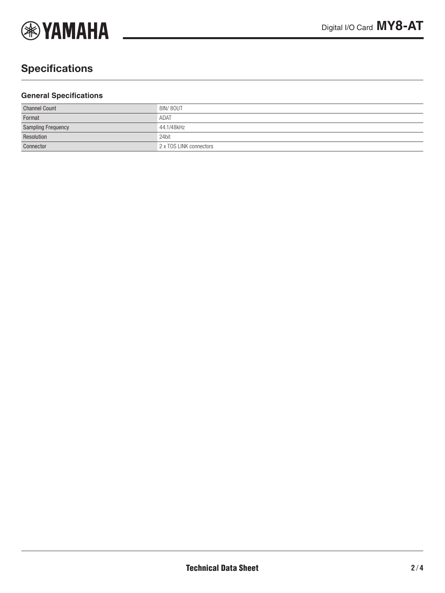

# **Specifications**

#### **General Specifications**

| <b>Channel Count</b>      | 8IN/80UT                |
|---------------------------|-------------------------|
| Format                    | ADAT                    |
| <b>Sampling Frequency</b> | 44.1/48kHz              |
| Resolution                | 24bit                   |
| Connector                 | 2 x TOS LINK connectors |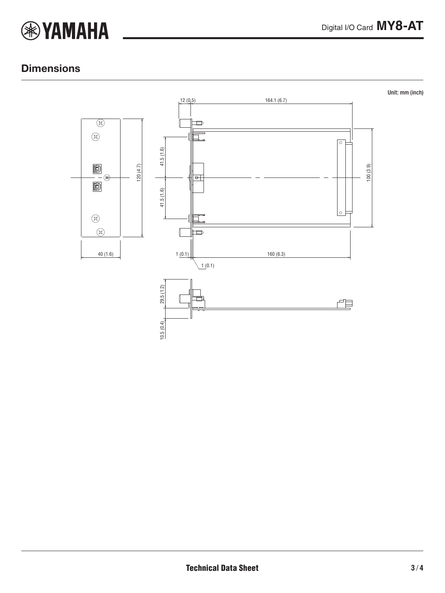

## **Dimensions**